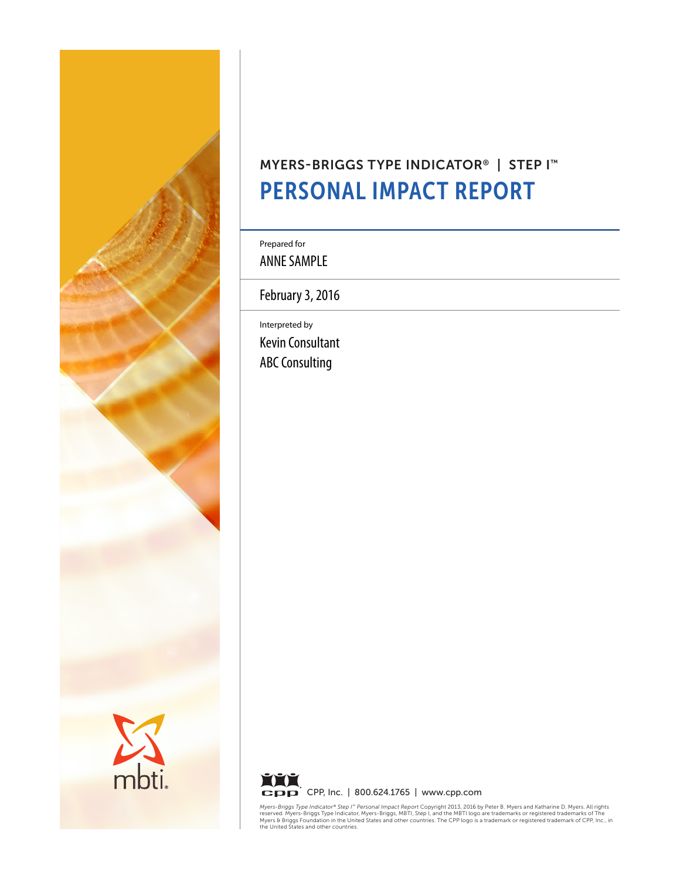

# MYERS-BRIGGS TYPE INDICATOR® | STEP I™ PERSONAL IMPACT REPORT

Prepared for

ANNE SAMPLE

February 3, 2016

Interpreted by Kevin Consultant ABC Consulting



XXX CPP, Inc. | 800.624.1765 | www.cpp.com

Myers-*Briggs Type Indicator® Step l™ Personal Impact Report Copyright 2013, 2016 by Peter B. Myers and Katharine D. Myers. All rights<br>reserved. Myers-Briggs Type Indicator, Myers-Briggs, MBTI, Step I, and the MBTI logo ar*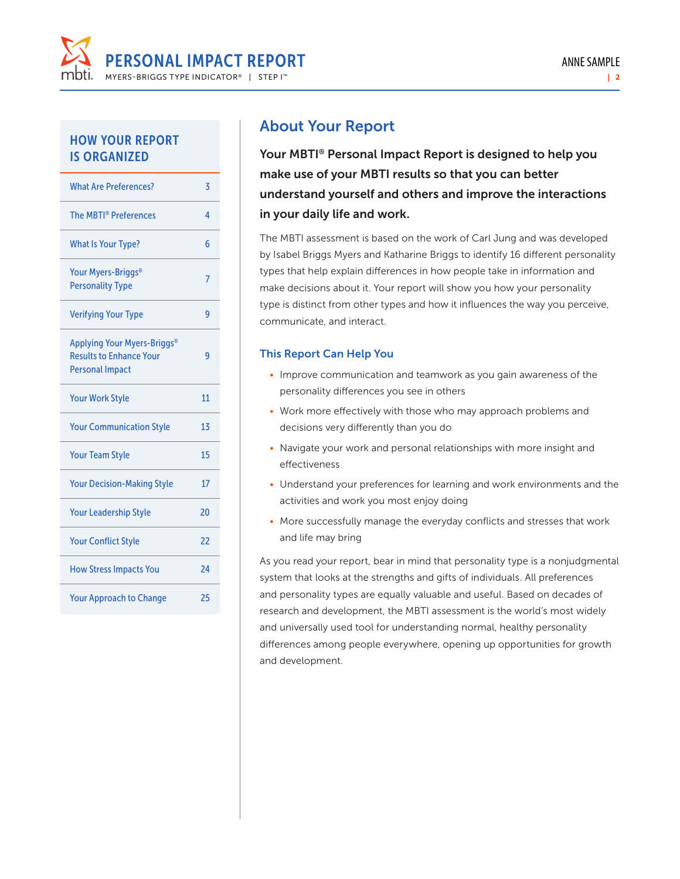

## HOW YOUR REPORT IS ORGANIZED

| <b>What Are Preferences?</b>                                                            | 3  |
|-----------------------------------------------------------------------------------------|----|
| The MBTI <sup>®</sup> Preferences                                                       | 4  |
| <b>What Is Your Type?</b>                                                               | 6  |
| Your Myers-Briggs <sup>®</sup><br><b>Personality Type</b>                               | 7  |
| <b>Verifying Your Type</b>                                                              | 9  |
| Applying Your Myers-Briggs®<br><b>Results to Enhance Your</b><br><b>Personal Impact</b> | 9  |
| <b>Your Work Style</b>                                                                  | 11 |
| <b>Your Communication Style</b>                                                         | 13 |
| <b>Your Team Style</b>                                                                  | 15 |
| <b>Your Decision-Making Style</b>                                                       | 17 |
| <b>Your Leadership Style</b>                                                            | 20 |
| <b>Your Conflict Style</b>                                                              | 22 |
| <b>How Stress Impacts You</b>                                                           | 24 |
| <b>Your Approach to Change</b>                                                          | 25 |

## About Your Report

Your MBTI® Personal Impact Report is designed to help you make use of your MBTI results so that you can better understand yourself and others and improve the interactions in your daily life and work.

The MBTI assessment is based on the work of Carl Jung and was developed by Isabel Briggs Myers and Katharine Briggs to identify 16 different personality types that help explain differences in how people take in information and make decisions about it. Your report will show you how your personality type is distinct from other types and how it influences the way you perceive, communicate, and interact.

### This Report Can Help You

- Improve communication and teamwork as you gain awareness of the personality differences you see in others
- Work more effectively with those who may approach problems and decisions very differently than you do
- Navigate your work and personal relationships with more insight and effectiveness
- Understand your preferences for learning and work environments and the activities and work you most enjoy doing
- More successfully manage the everyday conflicts and stresses that work and life may bring

As you read your report, bear in mind that personality type is a nonjudgmental system that looks at the strengths and gifts of individuals. All preferences and personality types are equally valuable and useful. Based on decades of research and development, the MBTI assessment is the world's most widely and universally used tool for understanding normal, healthy personality differences among people everywhere, opening up opportunities for growth and development.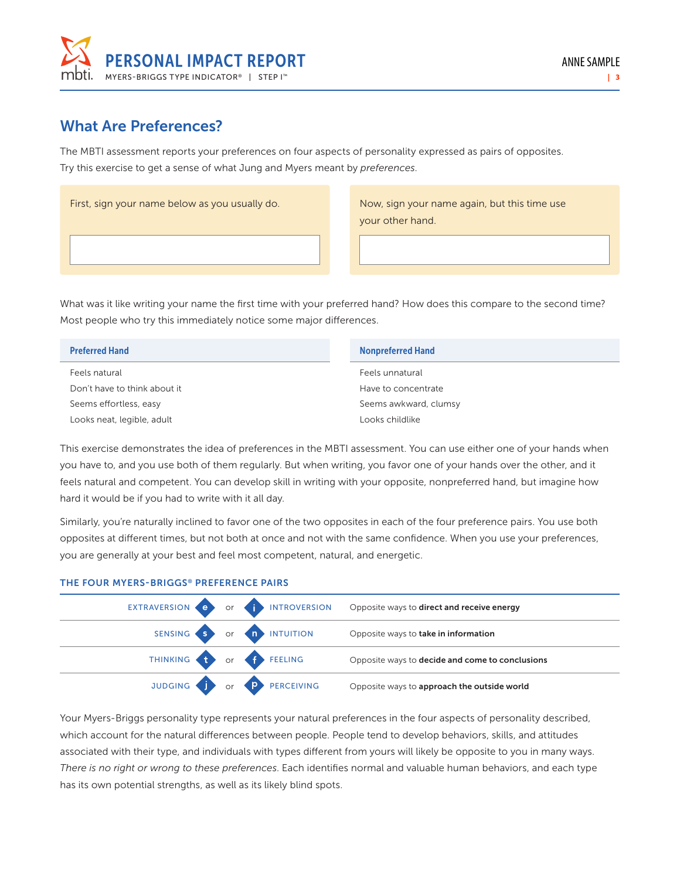

## What Are Preferences?

The MBTI assessment reports your preferences on four aspects of personality expressed as pairs of opposites. Try this exercise to get a sense of what Jung and Myers meant by *preferences*.

First, sign your name below as you usually do. Now, sign your name again, but this time use

your other hand.

What was it like writing your name the first time with your preferred hand? How does this compare to the second time? Most people who try this immediately notice some major differences.

| <b>Preferred Hand</b>        | <b>Nonpreferred Hand</b> |
|------------------------------|--------------------------|
| Feels natural                | Feels unnatural          |
| Don't have to think about it | Have to concentrate      |
| Seems effortless, easy       | Seems awkward, clumsy    |
| Looks neat, legible, adult   | Looks childlike          |

This exercise demonstrates the idea of preferences in the MBTI assessment. You can use either one of your hands when you have to, and you use both of them regularly. But when writing, you favor one of your hands over the other, and it feels natural and competent. You can develop skill in writing with your opposite, nonpreferred hand, but imagine how hard it would be if you had to write with it all day.

Similarly, you're naturally inclined to favor one of the two opposites in each of the four preference pairs. You use both opposites at different times, but not both at once and not with the same confidence. When you use your preferences, you are generally at your best and feel most competent, natural, and energetic.



#### THE FOUR MYERS-BRIGGS® PREFERENCE PAIRS

Your Myers-Briggs personality type represents your natural preferences in the four aspects of personality described, which account for the natural differences between people. People tend to develop behaviors, skills, and attitudes associated with their type, and individuals with types different from yours will likely be opposite to you in many ways. *There is no right or wrong to these preferences*. Each identifies normal and valuable human behaviors, and each type has its own potential strengths, as well as its likely blind spots.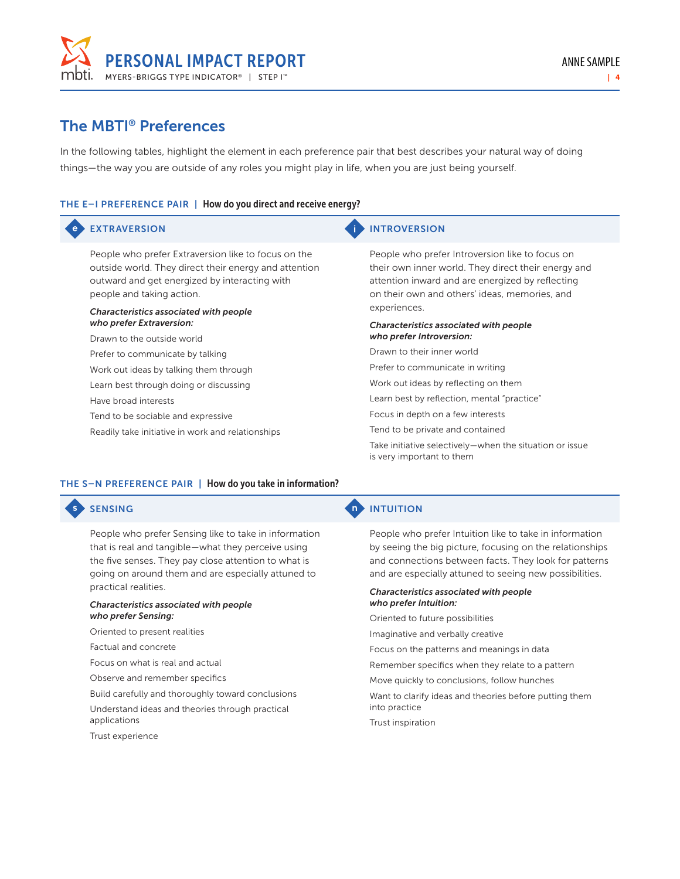

## The MBTI® Preferences

In the following tables, highlight the element in each preference pair that best describes your natural way of doing things—the way you are outside of any roles you might play in life, when you are just being yourself.

#### THE E–I PREFERENCE PAIR | How do you direct and receive energy?

#### EXTRAVERSION **INTROVERSION**

People who prefer Extraversion like to focus on the outside world. They direct their energy and attention outward and get energized by interacting with people and taking action.

#### *Characteristics associated with people who prefer Extraversion:*

Drawn to the outside world Prefer to communicate by talking Work out ideas by talking them through Learn best through doing or discussing Have broad interests Tend to be sociable and expressive Readily take initiative in work and relationships

People who prefer Introversion like to focus on their own inner world. They direct their energy and attention inward and are energized by reflecting on their own and others' ideas, memories, and experiences.

#### *Characteristics associated with people who prefer Introversion:*

Drawn to their inner world

Prefer to communicate in writing

Work out ideas by reflecting on them

Learn best by reflection, mental "practice"

Focus in depth on a few interests

Tend to be private and contained

Take initiative selectively—when the situation or issue is very important to them

#### THE S–N PREFERENCE PAIR | How do you take in information?

People who prefer Sensing like to take in information that is real and tangible—what they perceive using the five senses. They pay close attention to what is going on around them and are especially attuned to practical realities.

#### *Characteristics associated with people who prefer Sensing:*

Oriented to present realities

Factual and concrete

Focus on what is real and actual

Observe and remember specifics

Build carefully and thoroughly toward conclusions

Understand ideas and theories through practical applications

Trust experience

### SENSING **International Contract Contract Contract Contract Contract Contract Contract Contract Contract Contract Contract Contract Contract Contract Contract Contract Contract Contract Contract Contract Contract Contract C**

People who prefer Intuition like to take in information by seeing the big picture, focusing on the relationships and connections between facts. They look for patterns and are especially attuned to seeing new possibilities.

#### *Characteristics associated with people who prefer Intuition:*

Oriented to future possibilities

Imaginative and verbally creative

Focus on the patterns and meanings in data

Remember specifics when they relate to a pattern

Move quickly to conclusions, follow hunches

Want to clarify ideas and theories before putting them into practice

Trust inspiration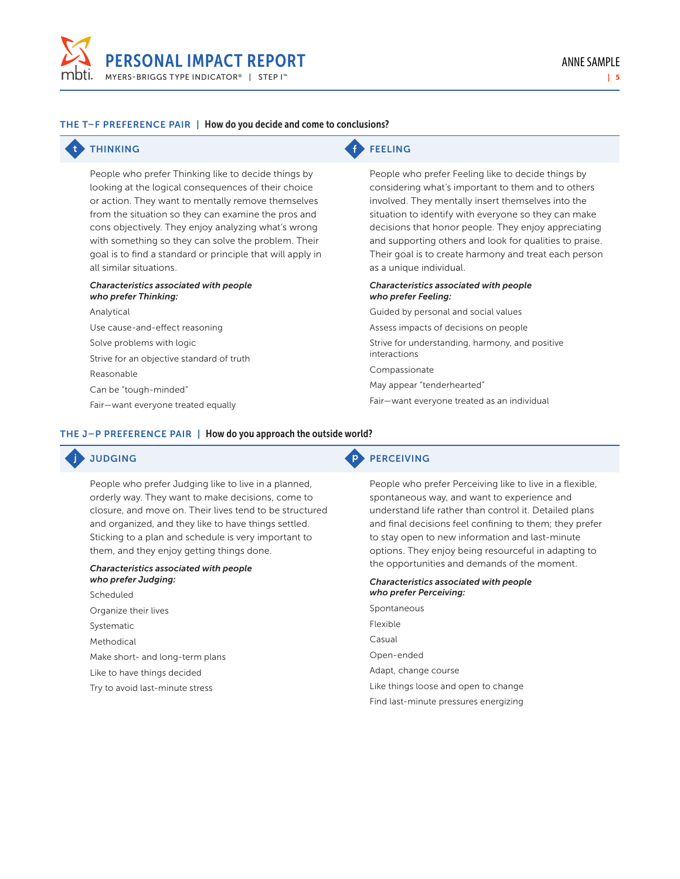

#### THE T–F PREFERENCE PAIR | How do you decide and come to conclusions?

#### THINKING **FEELING**

People who prefer Thinking like to decide things by looking at the logical consequences of their choice or action. They want to mentally remove themselves from the situation so they can examine the pros and cons objectively. They enjoy analyzing what's wrong with something so they can solve the problem. Their goal is to find a standard or principle that will apply in all similar situations.

#### *Characteristics associated with people who prefer Thinking:*

Analytical Use cause-and-effect reasoning Solve problems with logic Strive for an objective standard of truth Reasonable Can be "tough-minded" Fair—want everyone treated equally

People who prefer Feeling like to decide things by considering what's important to them and to others involved. They mentally insert themselves into the situation to identify with everyone so they can make decisions that honor people. They enjoy appreciating and supporting others and look for qualities to praise. Their goal is to create harmony and treat each person as a unique individual.

#### *Characteristics associated with people who prefer Feeling:*

Guided by personal and social values

Assess impacts of decisions on people

Strive for understanding, harmony, and positive interactions

Compassionate

May appear "tenderhearted"

Fair—want everyone treated as an individual

#### THE J–P PREFERENCE PAIR | How do you approach the outside world?

People who prefer Judging like to live in a planned, orderly way. They want to make decisions, come to closure, and move on. Their lives tend to be structured and organized, and they like to have things settled. Sticking to a plan and schedule is very important to them, and they enjoy getting things done.

#### *Characteristics associated with people who prefer Judging:*

Scheduled Organize their lives Systematic Methodical Make short- and long-term plans Like to have things decided Try to avoid last-minute stress

#### JUDGING PERCEIVING

People who prefer Perceiving like to live in a flexible, spontaneous way, and want to experience and understand life rather than control it. Detailed plans and final decisions feel confining to them; they prefer to stay open to new information and last-minute options. They enjoy being resourceful in adapting to the opportunities and demands of the moment.

#### *Characteristics associated with people who prefer Perceiving:*

Spontaneous Flexible Casual Open-ended Adapt, change course Like things loose and open to change Find last-minute pressures energizing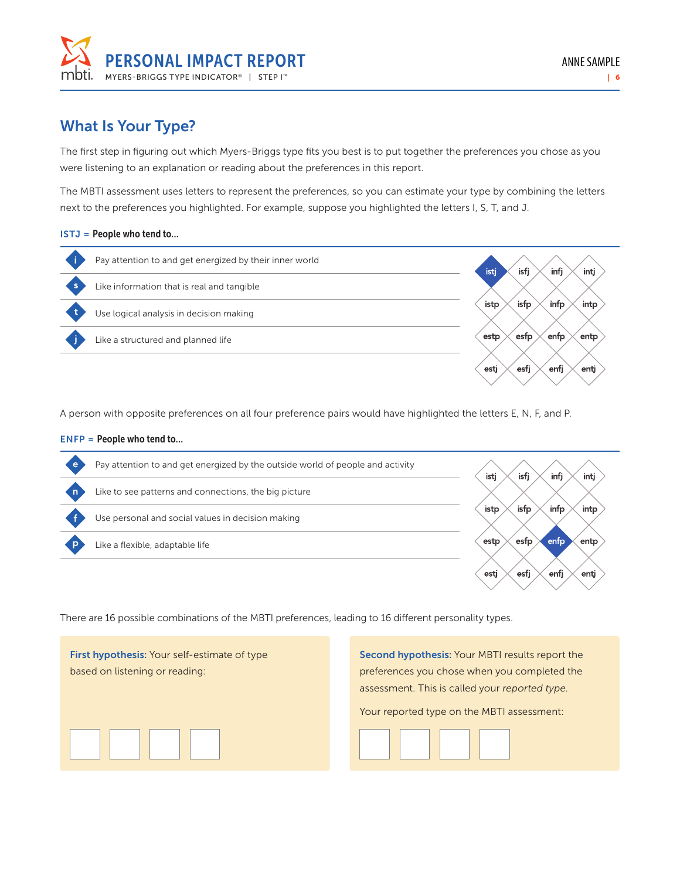

## What Is Your Type?

The first step in figuring out which Myers-Briggs type fits you best is to put together the preferences you chose as you were listening to an explanation or reading about the preferences in this report.

The MBTI assessment uses letters to represent the preferences, so you can estimate your type by combining the letters next to the preferences you highlighted. For example, suppose you highlighted the letters I, S, T, and J.

#### ISTJ = People who tend to…



A person with opposite preferences on all four preference pairs would have highlighted the letters E, N, F, and P.

#### ENFP = People who tend to…



There are 16 possible combinations of the MBTI preferences, leading to 16 different personality types.

First hypothesis: Your self-estimate of type based on listening or reading:

Second hypothesis: Your MBTI results report the preferences you chose when you completed the assessment. This is called your *reported type*.

Your reported type on the MBTI assessment:

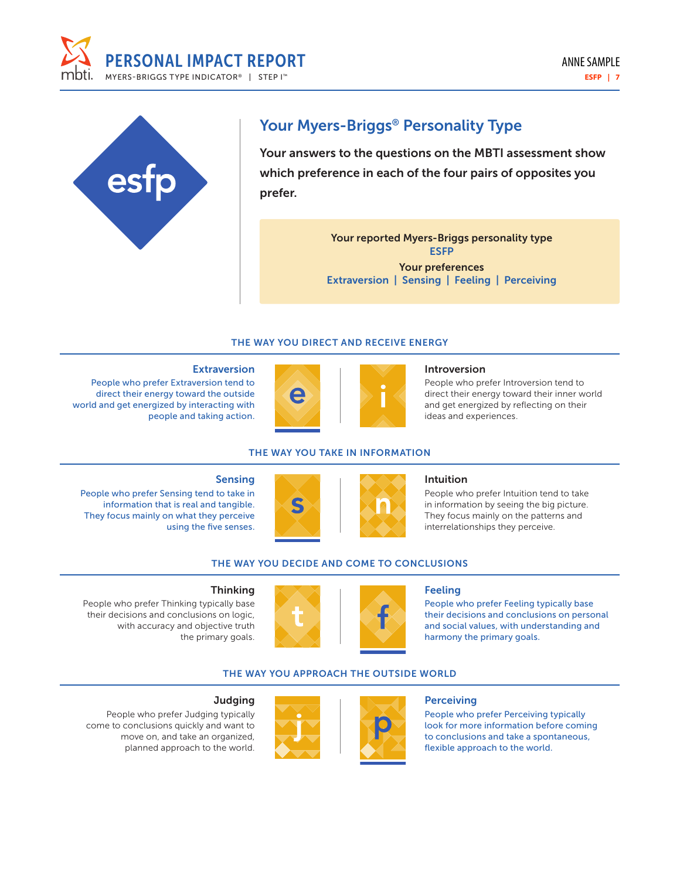



## Your Myers-Briggs® Personality Type

Your answers to the questions on the MBTI assessment show which preference in each of the four pairs of opposites you prefer.

> Your reported Myers-Briggs personality type ESFP Your preferences Extraversion | Sensing | Feeling | Perceiving

#### THE WAY YOU DIRECT AND RECEIVE ENERGY



#### Introversion

People who prefer Introversion tend to direct their energy toward their inner world and get energized by reflecting on their ideas and experiences.

#### THE WAY YOU TAKE IN INFORMATION



#### Intuition

People who prefer Intuition tend to take in information by seeing the big picture. They focus mainly on the patterns and interrelationships they perceive.

#### Sensing

Thinking

the primary goals.

**Extraversion** 

people and taking action.

People who prefer Sensing tend to take in information that is real and tangible. They focus mainly on what they perceive using the five senses.

People who prefer Thinking typically base their decisions and conclusions on logic, with accuracy and objective truth

People who prefer Extraversion tend to direct their energy toward the outside world and get energized by interacting with

#### THE WAY YOU DECIDE AND COME TO CONCLUSIONS



#### Feeling

People who prefer Feeling typically base their decisions and conclusions on personal and social values, with understanding and harmony the primary goals.

#### THE WAY YOU APPROACH THE OUTSIDE WORLD



### **Perceiving**

People who prefer Perceiving typically look for more information before coming to conclusions and take a spontaneous, flexible approach to the world.

#### **Judging**

People who prefer Judging typically come to conclusions quickly and want to move on, and take an organized, planned approach to the world.



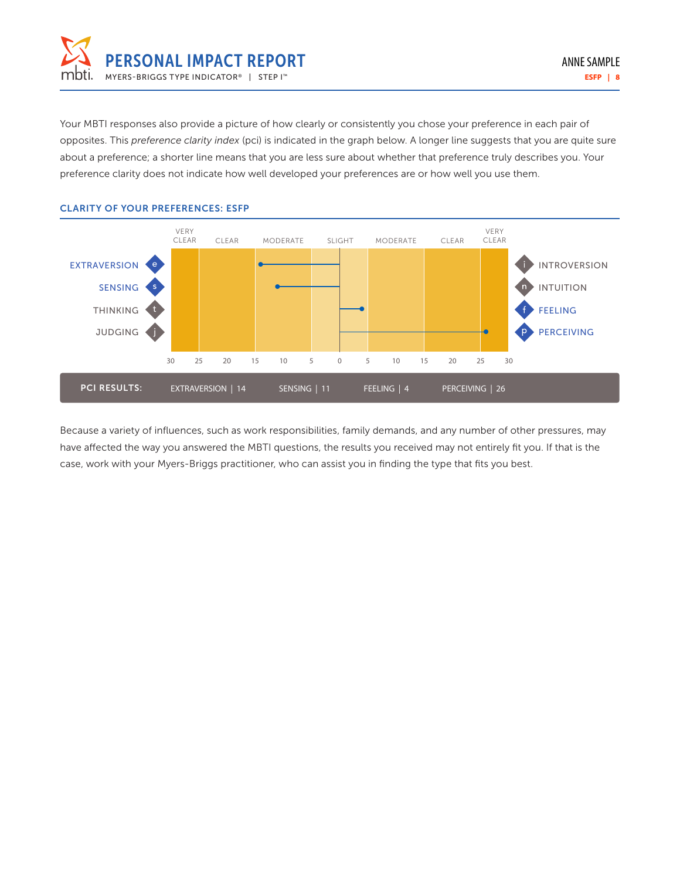

Your MBTI responses also provide a picture of how clearly or consistently you chose your preference in each pair of opposites. This *preference clarity index* (pci) is indicated in the graph below. A longer line suggests that you are quite sure about a preference; a shorter line means that you are less sure about whether that preference truly describes you. Your preference clarity does not indicate how well developed your preferences are or how well you use them.



#### CLARITY OF YOUR PREFERENCES: ESFP

Because a variety of influences, such as work responsibilities, family demands, and any number of other pressures, may have affected the way you answered the MBTI questions, the results you received may not entirely fit you. If that is the case, work with your Myers-Briggs practitioner, who can assist you in finding the type that fits you best.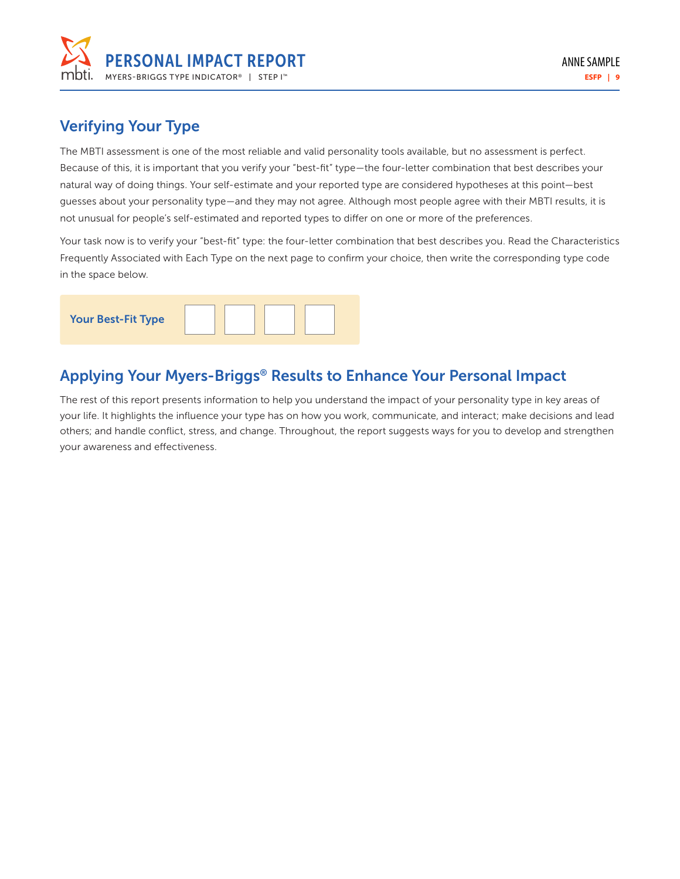

## Verifying Your Type

The MBTI assessment is one of the most reliable and valid personality tools available, but no assessment is perfect. Because of this, it is important that you verify your "best-fit" type—the four-letter combination that best describes your natural way of doing things. Your self-estimate and your reported type are considered hypotheses at this point—best guesses about your personality type—and they may not agree. Although most people agree with their MBTI results, it is not unusual for people's self-estimated and reported types to differ on one or more of the preferences.

Your task now is to verify your "best-fit" type: the four-letter combination that best describes you. Read the Characteristics Frequently Associated with Each Type on the next page to confirm your choice, then write the corresponding type code in the space below.



## Applying Your Myers-Briggs® Results to Enhance Your Personal Impact

The rest of this report presents information to help you understand the impact of your personality type in key areas of your life. It highlights the influence your type has on how you work, communicate, and interact; make decisions and lead others; and handle conflict, stress, and change. Throughout, the report suggests ways for you to develop and strengthen your awareness and effectiveness.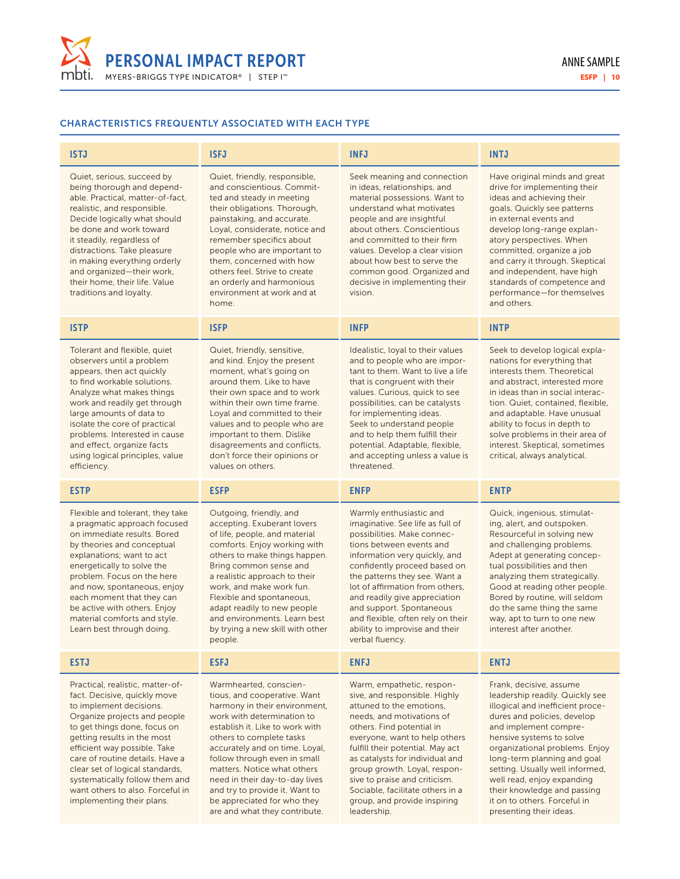

#### CHARACTERISTICS FREQUENTLY ASSOCIATED WITH EACH TYPE

| <b>ISTJ</b>                                                                                                                                                                                                                                                                                                                                                                     | <b>ISFJ</b>                                                                                                                                                                                                                                                                                                                                                                                | <b>INFJ</b>                                                                                                                                                                                                                                                                                                                                                                                                        | <b>INTJ</b>                                                                                                                                                                                                                                                                                                                                                                             |
|---------------------------------------------------------------------------------------------------------------------------------------------------------------------------------------------------------------------------------------------------------------------------------------------------------------------------------------------------------------------------------|--------------------------------------------------------------------------------------------------------------------------------------------------------------------------------------------------------------------------------------------------------------------------------------------------------------------------------------------------------------------------------------------|--------------------------------------------------------------------------------------------------------------------------------------------------------------------------------------------------------------------------------------------------------------------------------------------------------------------------------------------------------------------------------------------------------------------|-----------------------------------------------------------------------------------------------------------------------------------------------------------------------------------------------------------------------------------------------------------------------------------------------------------------------------------------------------------------------------------------|
| Quiet, serious, succeed by<br>being thorough and depend-<br>able. Practical, matter-of-fact,<br>realistic, and responsible.<br>Decide logically what should<br>be done and work toward<br>it steadily, regardless of<br>distractions. Take pleasure<br>in making everything orderly<br>and organized-their work,<br>their home, their life. Value<br>traditions and loyalty.    | Quiet, friendly, responsible,<br>and conscientious. Commit-<br>ted and steady in meeting<br>their obligations. Thorough,<br>painstaking, and accurate.<br>Loyal, considerate, notice and<br>remember specifics about<br>people who are important to<br>them, concerned with how<br>others feel. Strive to create<br>an orderly and harmonious<br>environment at work and at<br>home.       | Seek meaning and connection<br>in ideas, relationships, and<br>material possessions. Want to<br>understand what motivates<br>people and are insightful<br>about others. Conscientious<br>and committed to their firm<br>values. Develop a clear vision<br>about how best to serve the<br>common good. Organized and<br>decisive in implementing their<br>vision.                                                   | Have original minds and great<br>drive for implementing their<br>ideas and achieving their<br>goals. Quickly see patterns<br>in external events and<br>develop long-range explan-<br>atory perspectives. When<br>committed, organize a job<br>and carry it through. Skeptical<br>and independent, have high<br>standards of competence and<br>performance-for themselves<br>and others. |
| <b>ISTP</b>                                                                                                                                                                                                                                                                                                                                                                     | <b>ISFP</b>                                                                                                                                                                                                                                                                                                                                                                                | <b>INFP</b>                                                                                                                                                                                                                                                                                                                                                                                                        | <b>INTP</b>                                                                                                                                                                                                                                                                                                                                                                             |
| Tolerant and flexible, quiet<br>observers until a problem<br>appears, then act quickly<br>to find workable solutions.<br>Analyze what makes things<br>work and readily get through<br>large amounts of data to<br>isolate the core of practical<br>problems. Interested in cause<br>and effect, organize facts<br>using logical principles, value<br>efficiency.                | Quiet, friendly, sensitive,<br>and kind. Enjoy the present<br>moment, what's going on<br>around them. Like to have<br>their own space and to work<br>within their own time frame.<br>Loyal and committed to their<br>values and to people who are<br>important to them. Dislike<br>disagreements and conflicts,<br>don't force their opinions or<br>values on others.                      | Idealistic, loyal to their values<br>and to people who are impor-<br>tant to them. Want to live a life<br>that is congruent with their<br>values. Curious, quick to see<br>possibilities, can be catalysts<br>for implementing ideas.<br>Seek to understand people<br>and to help them fulfill their<br>potential. Adaptable, flexible,<br>and accepting unless a value is<br>threatened.                          | Seek to develop logical expla-<br>nations for everything that<br>interests them. Theoretical<br>and abstract, interested more<br>in ideas than in social interac-<br>tion. Quiet, contained, flexible,<br>and adaptable. Have unusual<br>ability to focus in depth to<br>solve problems in their area of<br>interest. Skeptical, sometimes<br>critical, always analytical.              |
| <b>ESTP</b>                                                                                                                                                                                                                                                                                                                                                                     | <b>ESFP</b>                                                                                                                                                                                                                                                                                                                                                                                | <b>ENFP</b>                                                                                                                                                                                                                                                                                                                                                                                                        | <b>ENTP</b>                                                                                                                                                                                                                                                                                                                                                                             |
| Flexible and tolerant, they take<br>a pragmatic approach focused<br>on immediate results. Bored<br>by theories and conceptual<br>explanations; want to act<br>energetically to solve the<br>problem. Focus on the here<br>and now, spontaneous, enjoy<br>each moment that they can<br>be active with others. Enjoy<br>material comforts and style.<br>Learn best through doing. | Outgoing, friendly, and<br>accepting. Exuberant lovers<br>of life, people, and material<br>comforts. Enjoy working with<br>others to make things happen.<br>Bring common sense and<br>a realistic approach to their<br>work, and make work fun.<br>Flexible and spontaneous,<br>adapt readily to new people<br>and environments. Learn best<br>by trying a new skill with other<br>people. | Warmly enthusiastic and<br>imaginative. See life as full of<br>possibilities. Make connec-<br>tions between events and<br>information very quickly, and<br>confidently proceed based on<br>the patterns they see. Want a<br>lot of affirmation from others,<br>and readily give appreciation<br>and support. Spontaneous<br>and flexible, often rely on their<br>ability to improvise and their<br>verbal fluency. | Quick, ingenious, stimulat-<br>ing, alert, and outspoken.<br>Resourceful in solving new<br>and challenging problems.<br>Adept at generating concep-<br>tual possibilities and then<br>analyzing them strategically.<br>Good at reading other people.<br>Bored by routine, will seldom<br>do the same thing the same<br>way, apt to turn to one new<br>interest after another.           |
| <b>ESTJ</b>                                                                                                                                                                                                                                                                                                                                                                     | <b>ESFJ</b>                                                                                                                                                                                                                                                                                                                                                                                | <b>ENFJ</b>                                                                                                                                                                                                                                                                                                                                                                                                        |                                                                                                                                                                                                                                                                                                                                                                                         |
|                                                                                                                                                                                                                                                                                                                                                                                 |                                                                                                                                                                                                                                                                                                                                                                                            |                                                                                                                                                                                                                                                                                                                                                                                                                    | <b>ENTJ</b>                                                                                                                                                                                                                                                                                                                                                                             |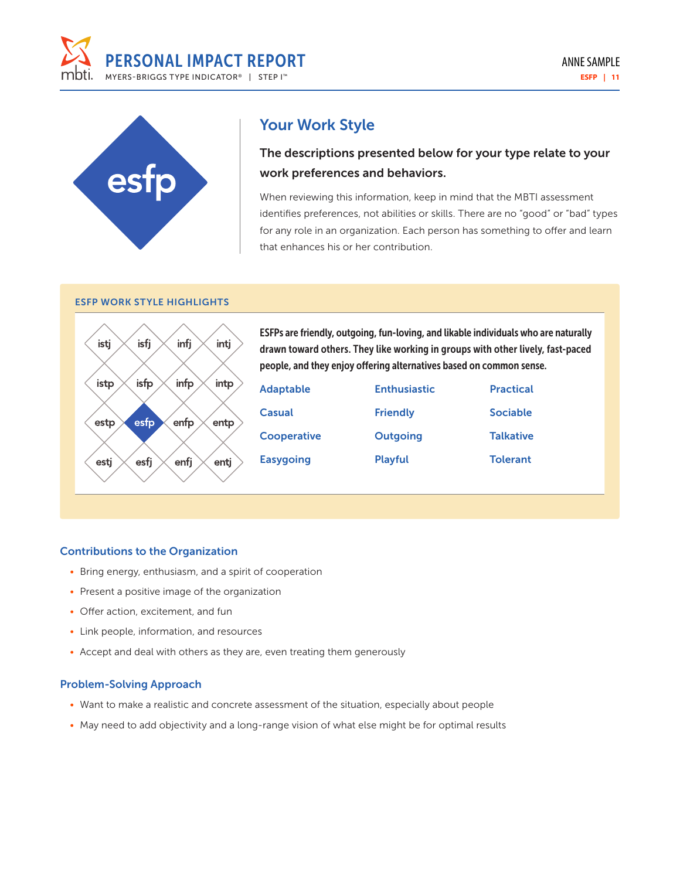



## Your Work Style

The descriptions presented below for your type relate to your work preferences and behaviors.

When reviewing this information, keep in mind that the MBTI assessment identifies preferences, not abilities or skills. There are no "good" or "bad" types for any role in an organization. Each person has something to offer and learn that enhances his or her contribution.

#### ESFP WORK STYLE HIGHLIGHTS



ESFPs are friendly, outgoing, fun-loving, and likable individuals who are naturally drawn toward others. They like working in groups with other lively, fast-paced people, and they enjoy offering alternatives based on common sense.

| <b>Adaptable</b>   | <b>Enthusiastic</b> | <b>Practical</b> |
|--------------------|---------------------|------------------|
| Casual             | <b>Friendly</b>     | <b>Sociable</b>  |
| <b>Cooperative</b> | <b>Outgoing</b>     | <b>Talkative</b> |
| <b>Easygoing</b>   | <b>Playful</b>      | <b>Tolerant</b>  |

#### Contributions to the Organization

- Bring energy, enthusiasm, and a spirit of cooperation
- Present a positive image of the organization
- Offer action, excitement, and fun
- Link people, information, and resources
- Accept and deal with others as they are, even treating them generously

#### Problem-Solving Approach

- Want to make a realistic and concrete assessment of the situation, especially about people
- May need to add objectivity and a long-range vision of what else might be for optimal results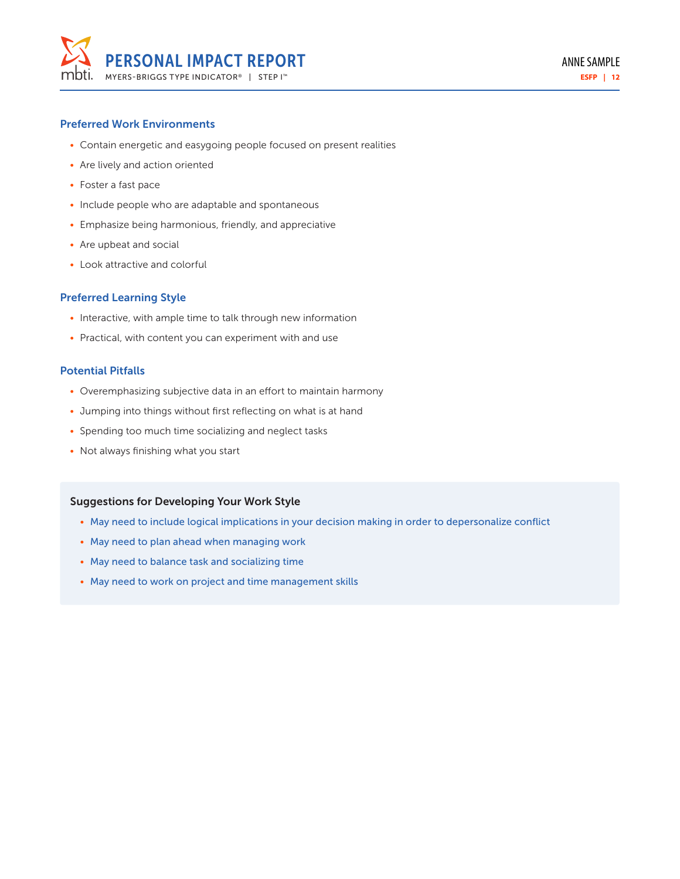

#### Preferred Work Environments

- Contain energetic and easygoing people focused on present realities
- Are lively and action oriented
- Foster a fast pace
- Include people who are adaptable and spontaneous
- Emphasize being harmonious, friendly, and appreciative
- Are upbeat and social
- Look attractive and colorful

#### Preferred Learning Style

- Interactive, with ample time to talk through new information
- Practical, with content you can experiment with and use

#### Potential Pitfalls

- Overemphasizing subjective data in an effort to maintain harmony
- Jumping into things without first reflecting on what is at hand
- Spending too much time socializing and neglect tasks
- Not always finishing what you start

#### Suggestions for Developing Your Work Style

- May need to include logical implications in your decision making in order to depersonalize conflict
- May need to plan ahead when managing work
- May need to balance task and socializing time
- May need to work on project and time management skills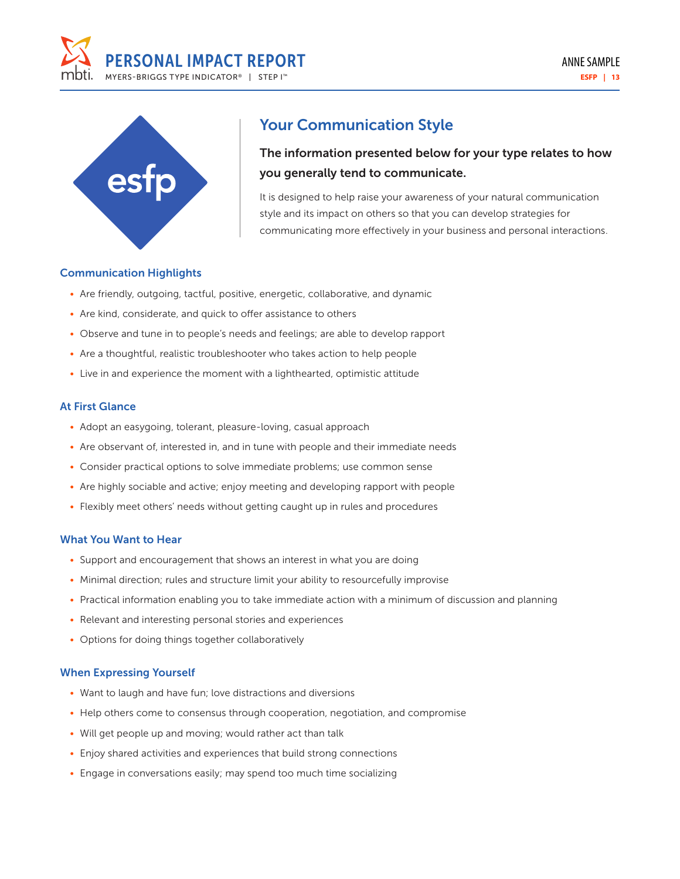



## Your Communication Style

## The information presented below for your type relates to how you generally tend to communicate.

It is designed to help raise your awareness of your natural communication style and its impact on others so that you can develop strategies for communicating more effectively in your business and personal interactions.

#### Communication Highlights

- Are friendly, outgoing, tactful, positive, energetic, collaborative, and dynamic
- Are kind, considerate, and quick to offer assistance to others
- Observe and tune in to people's needs and feelings; are able to develop rapport
- Are a thoughtful, realistic troubleshooter who takes action to help people
- Live in and experience the moment with a lighthearted, optimistic attitude

### At First Glance

- Adopt an easygoing, tolerant, pleasure-loving, casual approach
- Are observant of, interested in, and in tune with people and their immediate needs
- Consider practical options to solve immediate problems; use common sense
- Are highly sociable and active; enjoy meeting and developing rapport with people
- Flexibly meet others' needs without getting caught up in rules and procedures

#### What You Want to Hear

- Support and encouragement that shows an interest in what you are doing
- Minimal direction; rules and structure limit your ability to resourcefully improvise
- Practical information enabling you to take immediate action with a minimum of discussion and planning
- Relevant and interesting personal stories and experiences
- Options for doing things together collaboratively

#### When Expressing Yourself

- Want to laugh and have fun; love distractions and diversions
- Help others come to consensus through cooperation, negotiation, and compromise
- Will get people up and moving; would rather act than talk
- Enjoy shared activities and experiences that build strong connections
- Engage in conversations easily; may spend too much time socializing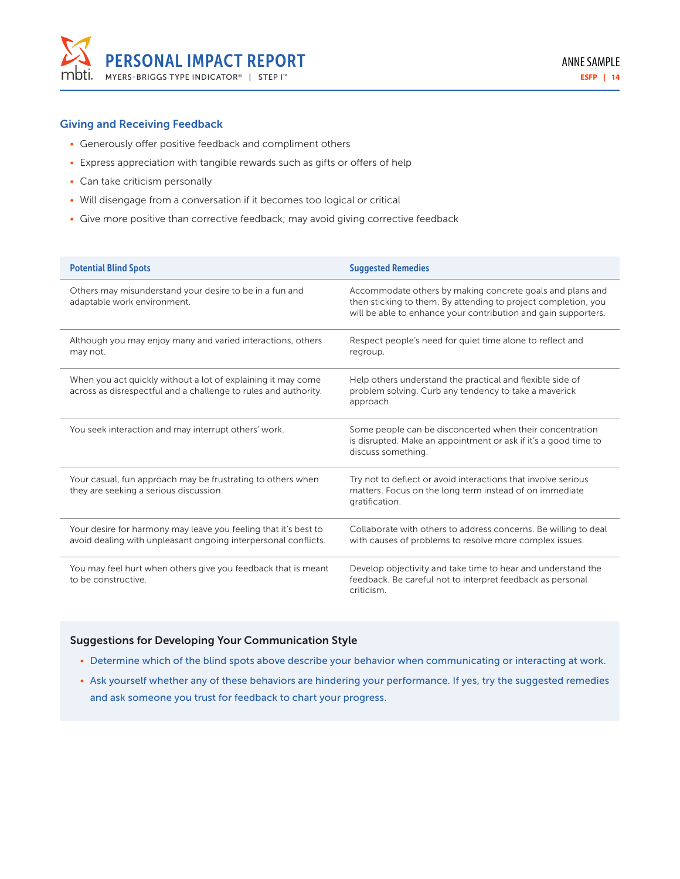

#### Giving and Receiving Feedback

- Generously offer positive feedback and compliment others
- Express appreciation with tangible rewards such as gifts or offers of help
- Can take criticism personally
- Will disengage from a conversation if it becomes too logical or critical
- Give more positive than corrective feedback; may avoid giving corrective feedback

| <b>Potential Blind Spots</b>                                                                                                      | <b>Suggested Remedies</b>                                                                                                                                                                     |
|-----------------------------------------------------------------------------------------------------------------------------------|-----------------------------------------------------------------------------------------------------------------------------------------------------------------------------------------------|
| Others may misunderstand your desire to be in a fun and<br>adaptable work environment.                                            | Accommodate others by making concrete goals and plans and<br>then sticking to them. By attending to project completion, you<br>will be able to enhance your contribution and gain supporters. |
| Although you may enjoy many and varied interactions, others<br>may not.                                                           | Respect people's need for quiet time alone to reflect and<br>regroup.                                                                                                                         |
| When you act quickly without a lot of explaining it may come<br>across as disrespectful and a challenge to rules and authority.   | Help others understand the practical and flexible side of<br>problem solving. Curb any tendency to take a maverick<br>approach.                                                               |
| You seek interaction and may interrupt others' work.                                                                              | Some people can be disconcerted when their concentration<br>is disrupted. Make an appointment or ask if it's a good time to<br>discuss something.                                             |
| Your casual, fun approach may be frustrating to others when<br>they are seeking a serious discussion.                             | Try not to deflect or avoid interactions that involve serious<br>matters. Focus on the long term instead of on immediate<br>gratification.                                                    |
| Your desire for harmony may leave you feeling that it's best to<br>avoid dealing with unpleasant ongoing interpersonal conflicts. | Collaborate with others to address concerns. Be willing to deal<br>with causes of problems to resolve more complex issues.                                                                    |
| You may feel hurt when others give you feedback that is meant<br>to be constructive.                                              | Develop objectivity and take time to hear and understand the<br>feedback. Be careful not to interpret feedback as personal<br>criticism.                                                      |

### Suggestions for Developing Your Communication Style

- Determine which of the blind spots above describe your behavior when communicating or interacting at work.
- Ask yourself whether any of these behaviors are hindering your performance. If yes, try the suggested remedies and ask someone you trust for feedback to chart your progress.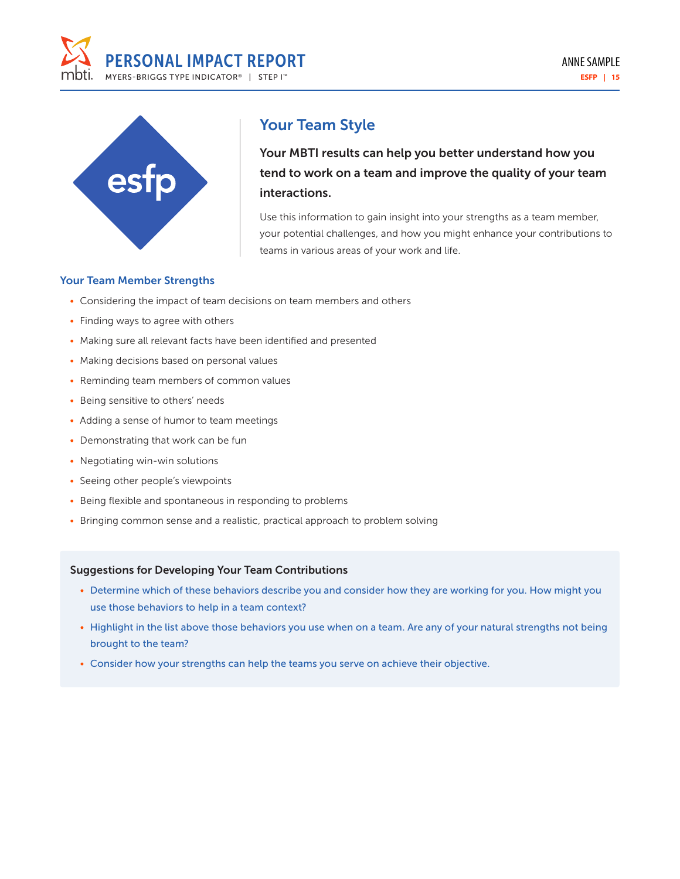



## Your Team Style

Your MBTI results can help you better understand how you tend to work on a team and improve the quality of your team interactions.

Use this information to gain insight into your strengths as a team member, your potential challenges, and how you might enhance your contributions to teams in various areas of your work and life.

#### Your Team Member Strengths

- Considering the impact of team decisions on team members and others
- Finding ways to agree with others
- Making sure all relevant facts have been identified and presented
- Making decisions based on personal values
- Reminding team members of common values
- Being sensitive to others' needs
- Adding a sense of humor to team meetings
- Demonstrating that work can be fun
- Negotiating win-win solutions
- Seeing other people's viewpoints
- Being flexible and spontaneous in responding to problems
- Bringing common sense and a realistic, practical approach to problem solving

#### Suggestions for Developing Your Team Contributions

- Determine which of these behaviors describe you and consider how they are working for you. How might you use those behaviors to help in a team context?
- Highlight in the list above those behaviors you use when on a team. Are any of your natural strengths not being brought to the team?
- Consider how your strengths can help the teams you serve on achieve their objective.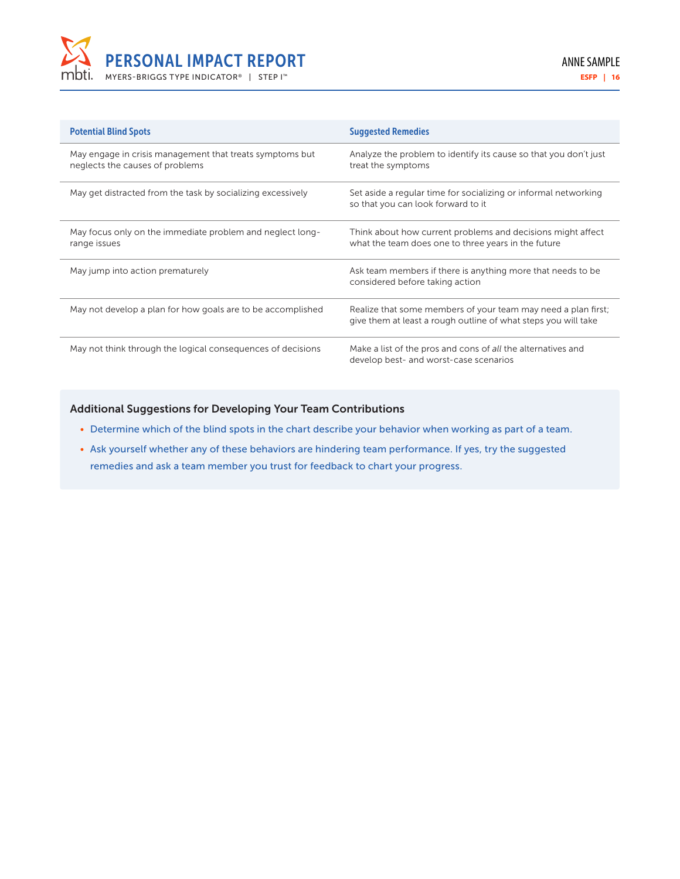

| <b>Potential Blind Spots</b>                                                                | <b>Suggested Remedies</b>                                                                                                       |
|---------------------------------------------------------------------------------------------|---------------------------------------------------------------------------------------------------------------------------------|
| May engage in crisis management that treats symptoms but<br>neglects the causes of problems | Analyze the problem to identify its cause so that you don't just<br>treat the symptoms                                          |
| May get distracted from the task by socializing excessively                                 | Set aside a regular time for socializing or informal networking<br>so that you can look forward to it                           |
| May focus only on the immediate problem and neglect long-<br>range issues                   | Think about how current problems and decisions might affect<br>what the team does one to three years in the future              |
| May jump into action prematurely                                                            | Ask team members if there is anything more that needs to be<br>considered before taking action                                  |
| May not develop a plan for how goals are to be accomplished                                 | Realize that some members of your team may need a plan first;<br>give them at least a rough outline of what steps you will take |
| May not think through the logical consequences of decisions                                 | Make a list of the pros and cons of all the alternatives and<br>develop best- and worst-case scenarios                          |

### Additional Suggestions for Developing Your Team Contributions

- Determine which of the blind spots in the chart describe your behavior when working as part of a team.
- Ask yourself whether any of these behaviors are hindering team performance. If yes, try the suggested remedies and ask a team member you trust for feedback to chart your progress.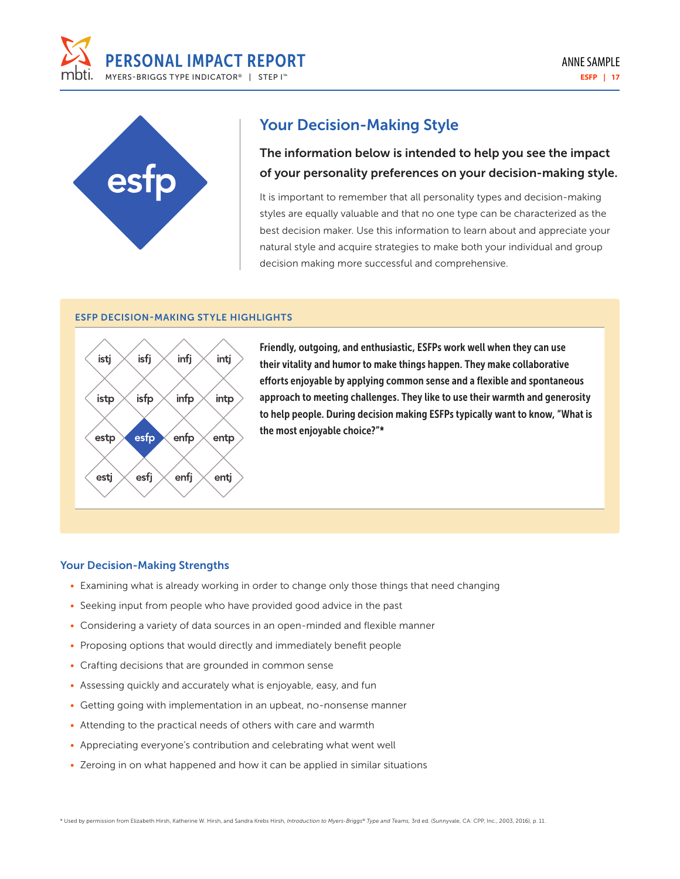



## Your Decision-Making Style

## The information below is intended to help you see the impact of your personality preferences on your decision-making style.

It is important to remember that all personality types and decision-making styles are equally valuable and that no one type can be characterized as the best decision maker. Use this information to learn about and appreciate your natural style and acquire strategies to make both your individual and group decision making more successful and comprehensive.

#### ESFP DECISION-MAKING STYLE HIGHLIGHTS



Friendly, outgoing, and enthusiastic, ESFPs work well when they can use their vitality and humor to make things happen. They make collaborative efforts enjoyable by applying common sense and a flexible and spontaneous approach to meeting challenges. They like to use their warmth and generosity to help people. During decision making ESFPs typically want to know, "What is the most enjoyable choice?"\*

#### Your Decision-Making Strengths

- Examining what is already working in order to change only those things that need changing
- Seeking input from people who have provided good advice in the past
- Considering a variety of data sources in an open-minded and flexible manner
- Proposing options that would directly and immediately benefit people
- Crafting decisions that are grounded in common sense
- Assessing quickly and accurately what is enjoyable, easy, and fun
- Getting going with implementation in an upbeat, no-nonsense manner
- Attending to the practical needs of others with care and warmth
- Appreciating everyone's contribution and celebrating what went well
- Zeroing in on what happened and how it can be applied in similar situations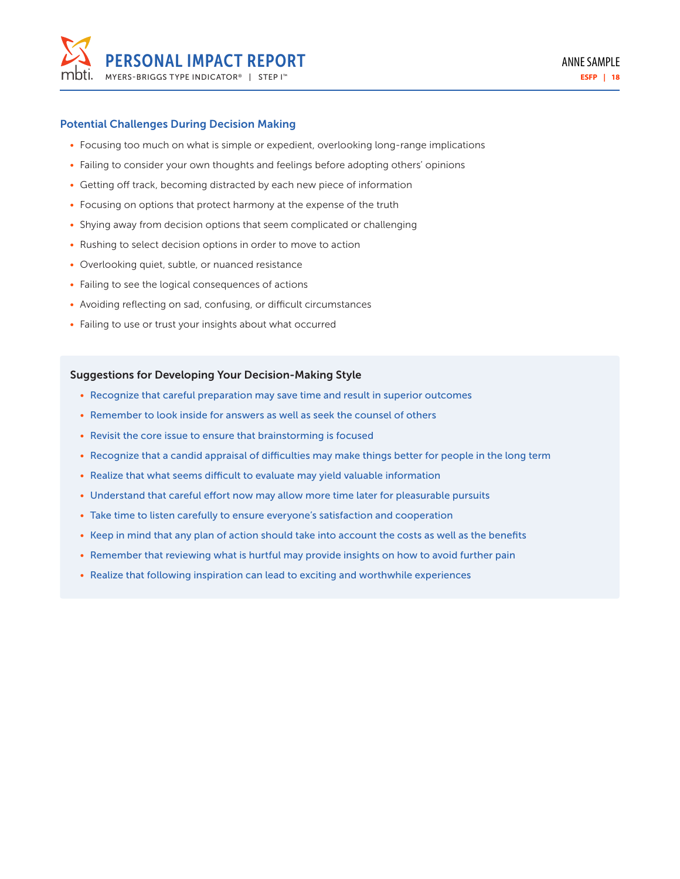

#### Potential Challenges During Decision Making

- Focusing too much on what is simple or expedient, overlooking long-range implications
- Failing to consider your own thoughts and feelings before adopting others' opinions
- Getting off track, becoming distracted by each new piece of information
- Focusing on options that protect harmony at the expense of the truth
- Shying away from decision options that seem complicated or challenging
- Rushing to select decision options in order to move to action
- Overlooking quiet, subtle, or nuanced resistance
- Failing to see the logical consequences of actions
- Avoiding reflecting on sad, confusing, or difficult circumstances
- Failing to use or trust your insights about what occurred

#### Suggestions for Developing Your Decision-Making Style

- Recognize that careful preparation may save time and result in superior outcomes
- Remember to look inside for answers as well as seek the counsel of others
- Revisit the core issue to ensure that brainstorming is focused
- Recognize that a candid appraisal of difficulties may make things better for people in the long term
- Realize that what seems difficult to evaluate may yield valuable information
- Understand that careful effort now may allow more time later for pleasurable pursuits
- Take time to listen carefully to ensure everyone's satisfaction and cooperation
- Keep in mind that any plan of action should take into account the costs as well as the benefits
- Remember that reviewing what is hurtful may provide insights on how to avoid further pain
- Realize that following inspiration can lead to exciting and worthwhile experiences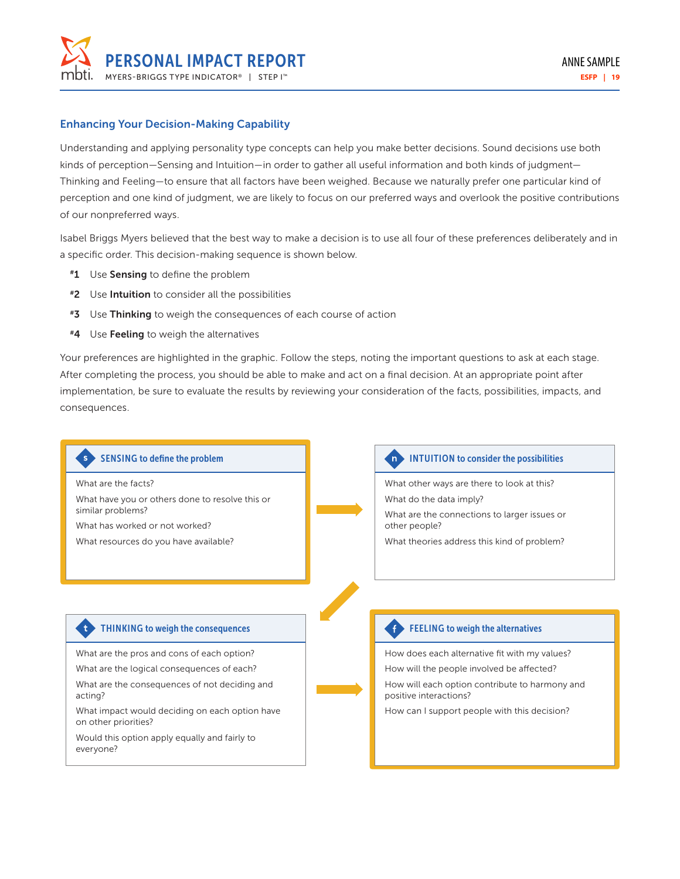

#### Enhancing Your Decision-Making Capability

Understanding and applying personality type concepts can help you make better decisions. Sound decisions use both kinds of perception—Sensing and Intuition—in order to gather all useful information and both kinds of judgment— Thinking and Feeling—to ensure that all factors have been weighed. Because we naturally prefer one particular kind of perception and one kind of judgment, we are likely to focus on our preferred ways and overlook the positive contributions of our nonpreferred ways.

Isabel Briggs Myers believed that the best way to make a decision is to use all four of these preferences deliberately and in a specific order. This decision-making sequence is shown below.

- #1 Use Sensing to define the problem
- **#2** Use Intuition to consider all the possibilities
- **#3** Use Thinking to weigh the consequences of each course of action
- **#4** Use Feeling to weigh the alternatives

Your preferences are highlighted in the graphic. Follow the steps, noting the important questions to ask at each stage. After completing the process, you should be able to make and act on a final decision. At an appropriate point after implementation, be sure to evaluate the results by reviewing your consideration of the facts, possibilities, impacts, and consequences.

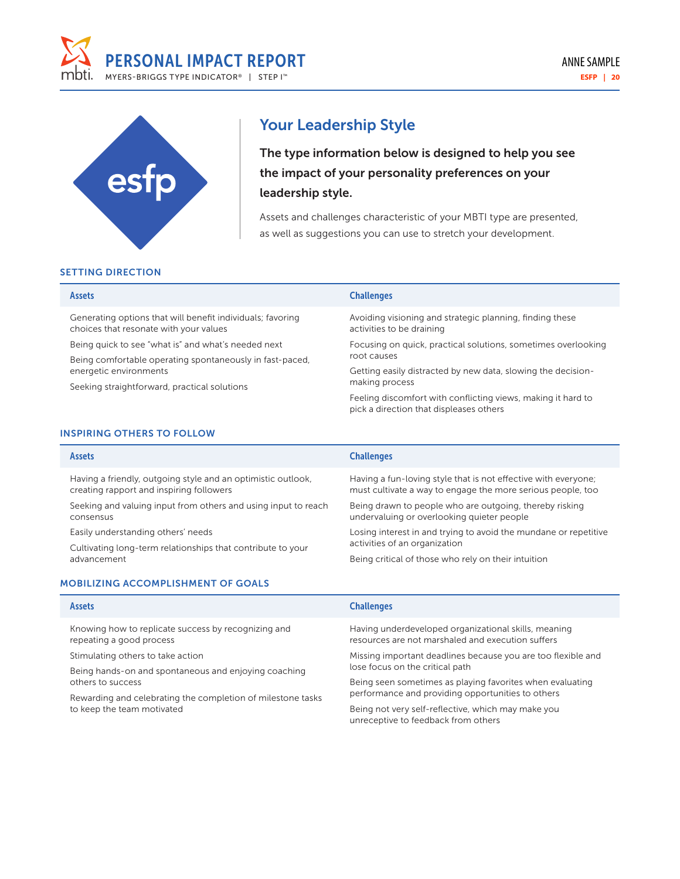



## Your Leadership Style

The type information below is designed to help you see the impact of your personality preferences on your leadership style.

Assets and challenges characteristic of your MBTI type are presented, as well as suggestions you can use to stretch your development.

#### SETTING DIRECTION

Generating options that will benefit individuals; favoring choices that resonate with your values

Being quick to see "what is" and what's needed next

Being comfortable operating spontaneously in fast-paced, energetic environments

Seeking straightforward, practical solutions

#### Assets **Challenges** Challenges **Challenges**

Avoiding visioning and strategic planning, finding these activities to be draining

Focusing on quick, practical solutions, sometimes overlooking root causes

Getting easily distracted by new data, slowing the decisionmaking process

Feeling discomfort with conflicting views, making it hard to pick a direction that displeases others

#### INSPIRING OTHERS TO FOLLOW

| <b>Assets</b>                                                                                               | <b>Challenges</b>                                                                                                             |
|-------------------------------------------------------------------------------------------------------------|-------------------------------------------------------------------------------------------------------------------------------|
| Having a friendly, outgoing style and an optimistic outlook,<br>creating rapport and inspiring followers    | Having a fun-loving style that is not effective with everyone;<br>must cultivate a way to engage the more serious people, too |
| Seeking and valuing input from others and using input to reach<br>consensus                                 | Being drawn to people who are outgoing, thereby risking<br>undervaluing or overlooking quieter people                         |
| Easily understanding others' needs                                                                          | Losing interest in and trying to avoid the mundane or repetitive                                                              |
| activities of an organization<br>Cultivating long-term relationships that contribute to your<br>advancement |                                                                                                                               |
|                                                                                                             | Being critical of those who rely on their intuition                                                                           |
|                                                                                                             |                                                                                                                               |

#### MOBILIZING ACCOMPLISHMENT OF GOALS

| <b>Assets</b>                                                                             | <b>Challenges</b>                                                                                         |
|-------------------------------------------------------------------------------------------|-----------------------------------------------------------------------------------------------------------|
| Knowing how to replicate success by recognizing and<br>repeating a good process           | Having underdeveloped organizational skills, meaning<br>resources are not marshaled and execution suffers |
| Stimulating others to take action                                                         | Missing important deadlines because you are too flexible and                                              |
| Being hands-on and spontaneous and enjoying coaching                                      | lose focus on the critical path                                                                           |
| others to success                                                                         | Being seen sometimes as playing favorites when evaluating                                                 |
| Rewarding and celebrating the completion of milestone tasks<br>to keep the team motivated | performance and providing opportunities to others                                                         |
|                                                                                           | Being not very self-reflective, which may make you<br>unreceptive to feedback from others                 |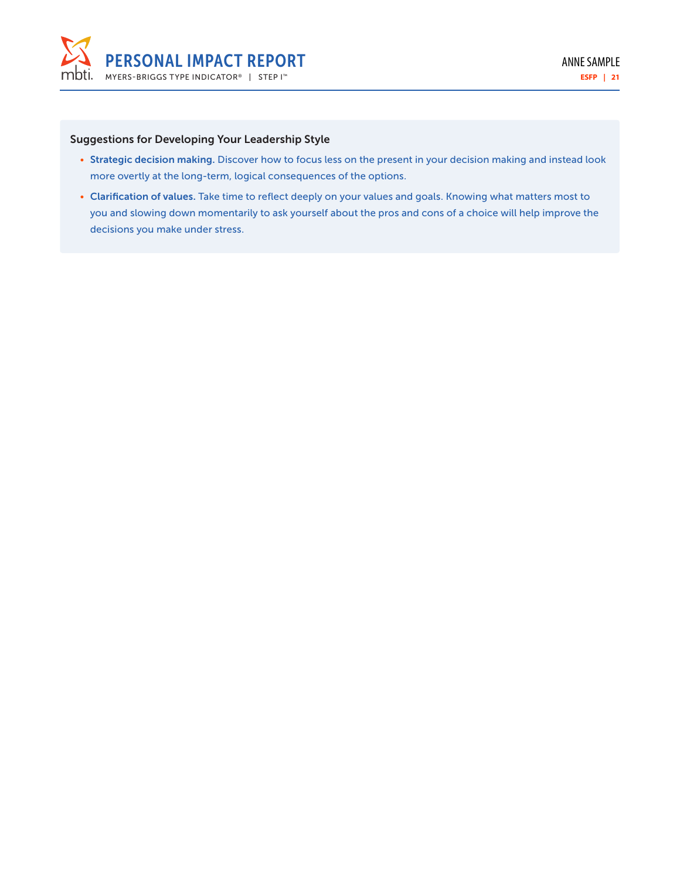

#### Suggestions for Developing Your Leadership Style

- Strategic decision making. Discover how to focus less on the present in your decision making and instead look more overtly at the long-term, logical consequences of the options.
- Clarification of values. Take time to reflect deeply on your values and goals. Knowing what matters most to you and slowing down momentarily to ask yourself about the pros and cons of a choice will help improve the decisions you make under stress.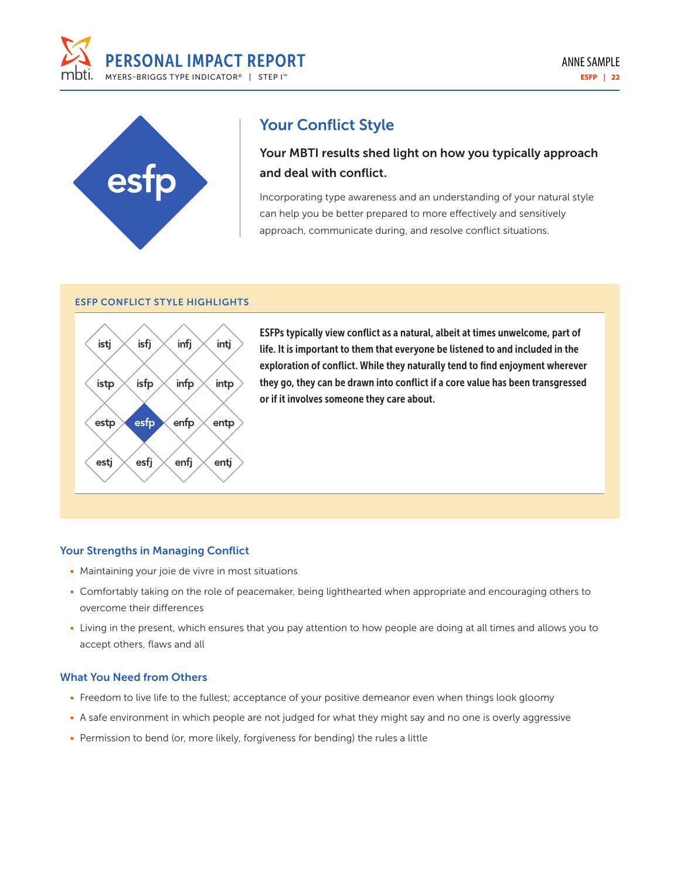



## Your Conflict Style

Your MBTI results shed light on how you typically approach and deal with conflict.

Incorporating type awareness and an understanding of your natural style can help you be better prepared to more effectively and sensitively approach, communicate during, and resolve conflict situations.

#### ESFP CONFLICT STYLE HIGHLIGHTS



ESFPs typically view conflict as a natural, albeit at times unwelcome, part of life. It is important to them that everyone be listened to and included in the exploration of conflict. While they naturally tend to find enjoyment wherever they go, they can be drawn into conflict if a core value has been transgressed or if it involves someone they care about.

#### Your Strengths in Managing Conflict

- Maintaining your joie de vivre in most situations
- Comfortably taking on the role of peacemaker, being lighthearted when appropriate and encouraging others to overcome their differences
- Living in the present, which ensures that you pay attention to how people are doing at all times and allows you to accept others, flaws and all

### What You Need from Others

- Freedom to live life to the fullest; acceptance of your positive demeanor even when things look gloomy
- A safe environment in which people are not judged for what they might say and no one is overly aggressive
- Permission to bend (or, more likely, forgiveness for bending) the rules a little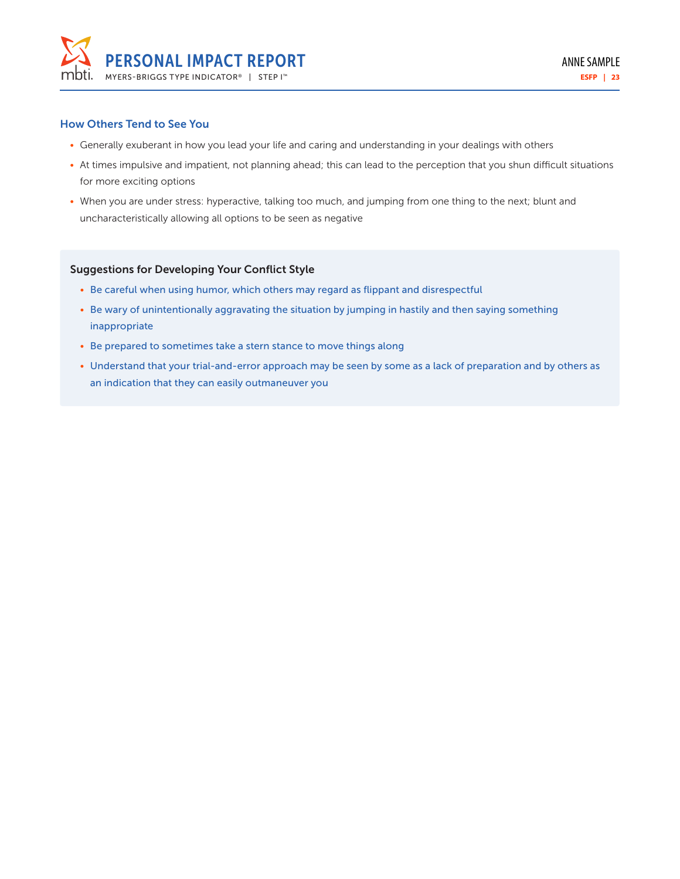

#### How Others Tend to See You

- Generally exuberant in how you lead your life and caring and understanding in your dealings with others
- At times impulsive and impatient, not planning ahead; this can lead to the perception that you shun difficult situations for more exciting options
- When you are under stress: hyperactive, talking too much, and jumping from one thing to the next; blunt and uncharacteristically allowing all options to be seen as negative

#### Suggestions for Developing Your Conflict Style

- Be careful when using humor, which others may regard as flippant and disrespectful
- Be wary of unintentionally aggravating the situation by jumping in hastily and then saying something inappropriate
- Be prepared to sometimes take a stern stance to move things along
- Understand that your trial-and-error approach may be seen by some as a lack of preparation and by others as an indication that they can easily outmaneuver you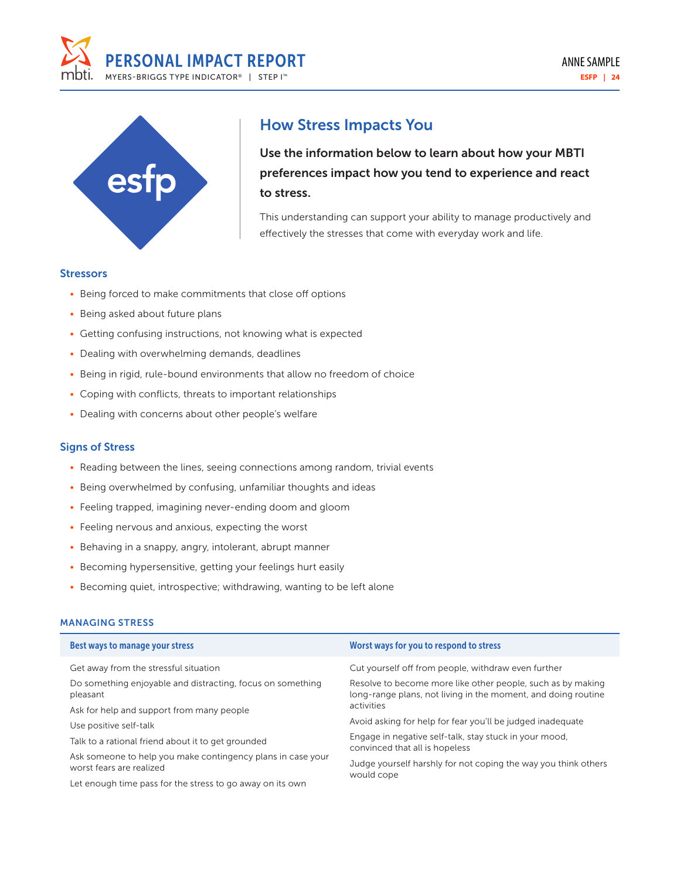



## How Stress Impacts You

Use the information below to learn about how your MBTI preferences impact how you tend to experience and react to stress.

This understanding can support your ability to manage productively and effectively the stresses that come with everyday work and life.

#### **Stressors**

- Being forced to make commitments that close off options
- Being asked about future plans
- Getting confusing instructions, not knowing what is expected
- Dealing with overwhelming demands, deadlines
- Being in rigid, rule-bound environments that allow no freedom of choice
- Coping with conflicts, threats to important relationships
- Dealing with concerns about other people's welfare

#### Signs of Stress

- Reading between the lines, seeing connections among random, trivial events
- Being overwhelmed by confusing, unfamiliar thoughts and ideas
- Feeling trapped, imagining never-ending doom and gloom
- Feeling nervous and anxious, expecting the worst
- Behaving in a snappy, angry, intolerant, abrupt manner
- Becoming hypersensitive, getting your feelings hurt easily
- Becoming quiet, introspective; withdrawing, wanting to be left alone

#### MANAGING STRESS

| Best ways to manage your stress                                                         | Worst ways for you to respond to stress                                                                                      |
|-----------------------------------------------------------------------------------------|------------------------------------------------------------------------------------------------------------------------------|
| Get away from the stressful situation                                                   | Cut yourself off from people, withdraw even further                                                                          |
| Do something enjoyable and distracting, focus on something<br>pleasant                  | Resolve to become more like other people, such as by making<br>long-range plans, not living in the moment, and doing routine |
| Ask for help and support from many people                                               | activities                                                                                                                   |
| Use positive self-talk                                                                  | Avoid asking for help for fear you'll be judged inadequate                                                                   |
| Talk to a rational friend about it to get grounded                                      | Engage in negative self-talk, stay stuck in your mood,<br>convinced that all is hopeless                                     |
| Ask someone to help you make contingency plans in case your<br>worst fears are realized | Judge yourself harshly for not coping the way you think others<br>would cope                                                 |
| Let enough time pass for the stress to go away on its own                               |                                                                                                                              |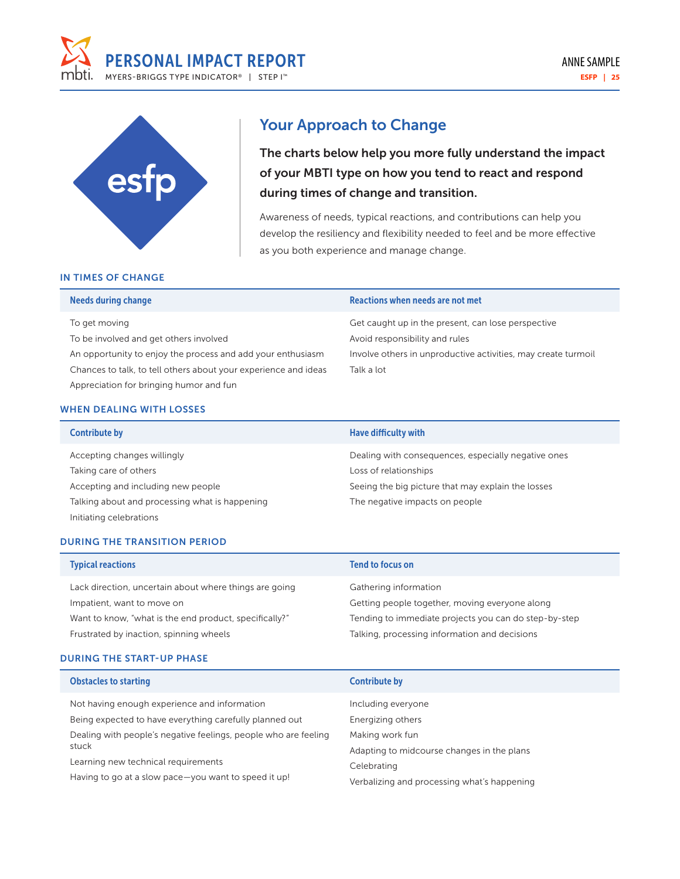



## Your Approach to Change

The charts below help you more fully understand the impact of your MBTI type on how you tend to react and respond during times of change and transition.

Awareness of needs, typical reactions, and contributions can help you develop the resiliency and flexibility needed to feel and be more effective as you both experience and manage change.

#### IN TIMES OF CHANGE

To get moving

To be involved and get others involved An opportunity to enjoy the process and add your enthusiasm Chances to talk, to tell others about your experience and ideas

Appreciation for bringing humor and fun

#### Needs during change **Reactions when needs are not met**

Get caught up in the present, can lose perspective Avoid responsibility and rules Involve others in unproductive activities, may create turmoil Talk a lot

#### WHEN DEALING WITH LOSSES

| <b>Contribute by</b>                           | <b>Have difficulty with</b>                         |
|------------------------------------------------|-----------------------------------------------------|
| Accepting changes willingly                    | Dealing with consequences, especially negative ones |
| Taking care of others                          | Loss of relationships                               |
| Accepting and including new people             | Seeing the big picture that may explain the losses  |
| Talking about and processing what is happening | The negative impacts on people                      |
| Initiating celebrations                        |                                                     |

#### DURING THE TRANSITION PERIOD

| Talking about and processing what is happening<br>Initiating celebrations | The negative impacts on people                        |
|---------------------------------------------------------------------------|-------------------------------------------------------|
| <b>DURING THE TRANSITION PERIOD</b>                                       |                                                       |
| <b>Typical reactions</b>                                                  | <b>Tend to focus on</b>                               |
| Lack direction, uncertain about where things are going                    | Gathering information                                 |
| Impatient, want to move on                                                | Getting people together, moving everyone along        |
| Want to know, "what is the end product, specifically?"                    | Tending to immediate projects you can do step-by-step |
| Frustrated by inaction, spinning wheels                                   | Talking, processing information and decisions         |

#### DURING THE START-UP PHASE

| <b>Obstacles to starting</b>                                    | <b>Contribute by</b>                        |
|-----------------------------------------------------------------|---------------------------------------------|
| Not having enough experience and information                    | Including everyone                          |
| Being expected to have everything carefully planned out         | Energizing others                           |
| Dealing with people's negative feelings, people who are feeling | Making work fun                             |
| stuck                                                           | Adapting to midcourse changes in the plans  |
| Learning new technical requirements                             | Celebrating                                 |
| Having to go at a slow pace-you want to speed it up!            | Verbalizing and processing what's happening |